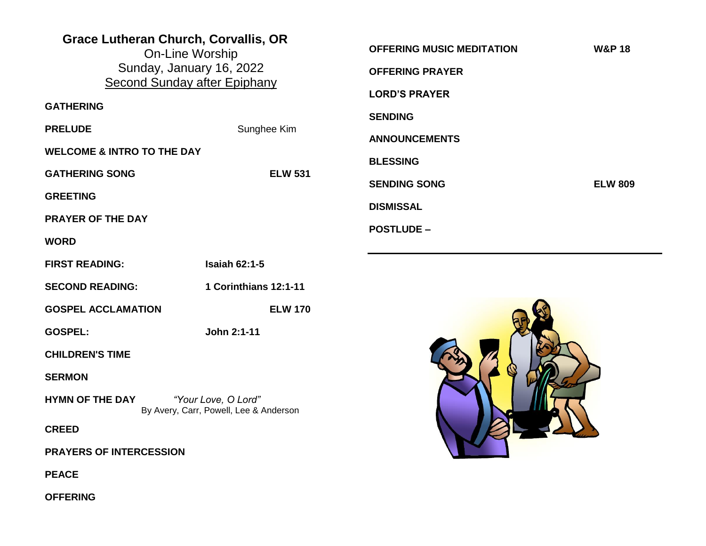| <b>Grace Lutheran Church, Corvallis, OR</b><br><b>On-Line Worship</b><br>Sunday, January 16, 2022<br><b>Second Sunday after Epiphany</b> |                       | <b>OFFERING MUSIC MEDITATION</b><br><b>OFFERING PRAYER</b><br><b>LORD'S PRAYER</b> | <b>W&amp;P 18</b> |
|------------------------------------------------------------------------------------------------------------------------------------------|-----------------------|------------------------------------------------------------------------------------|-------------------|
| <b>GATHERING</b>                                                                                                                         |                       |                                                                                    |                   |
| <b>PRELUDE</b>                                                                                                                           | Sunghee Kim           | <b>SENDING</b>                                                                     |                   |
| <b>WELCOME &amp; INTRO TO THE DAY</b>                                                                                                    |                       | <b>ANNOUNCEMENTS</b>                                                               |                   |
| <b>GATHERING SONG</b>                                                                                                                    | <b>ELW 531</b>        | <b>BLESSING</b>                                                                    |                   |
| <b>GREETING</b>                                                                                                                          |                       | <b>SENDING SONG</b>                                                                | <b>ELW 809</b>    |
| <b>PRAYER OF THE DAY</b>                                                                                                                 |                       | <b>DISMISSAL</b>                                                                   |                   |
| <b>WORD</b>                                                                                                                              |                       | <b>POSTLUDE -</b>                                                                  |                   |
| <b>FIRST READING:</b>                                                                                                                    | <b>Isaiah 62:1-5</b>  |                                                                                    |                   |
| <b>SECOND READING:</b>                                                                                                                   | 1 Corinthians 12:1-11 |                                                                                    |                   |
| <b>GOSPEL ACCLAMATION</b>                                                                                                                | <b>ELW 170</b>        |                                                                                    |                   |
| <b>GOSPEL:</b>                                                                                                                           | John 2:1-11           |                                                                                    |                   |
| <b>CHILDREN'S TIME</b>                                                                                                                   |                       |                                                                                    |                   |
| <b>SERMON</b>                                                                                                                            |                       |                                                                                    |                   |
| <b>HYMN OF THE DAY</b><br>"Your Love, O Lord"<br>By Avery, Carr, Powell, Lee & Anderson                                                  |                       | KI-COM                                                                             |                   |
| <b>CREED</b>                                                                                                                             |                       |                                                                                    |                   |
| <b>PRAYERS OF INTERCESSION</b>                                                                                                           |                       |                                                                                    |                   |
| <b>PEACE</b>                                                                                                                             |                       |                                                                                    |                   |
| <b>OFFERING</b>                                                                                                                          |                       |                                                                                    |                   |